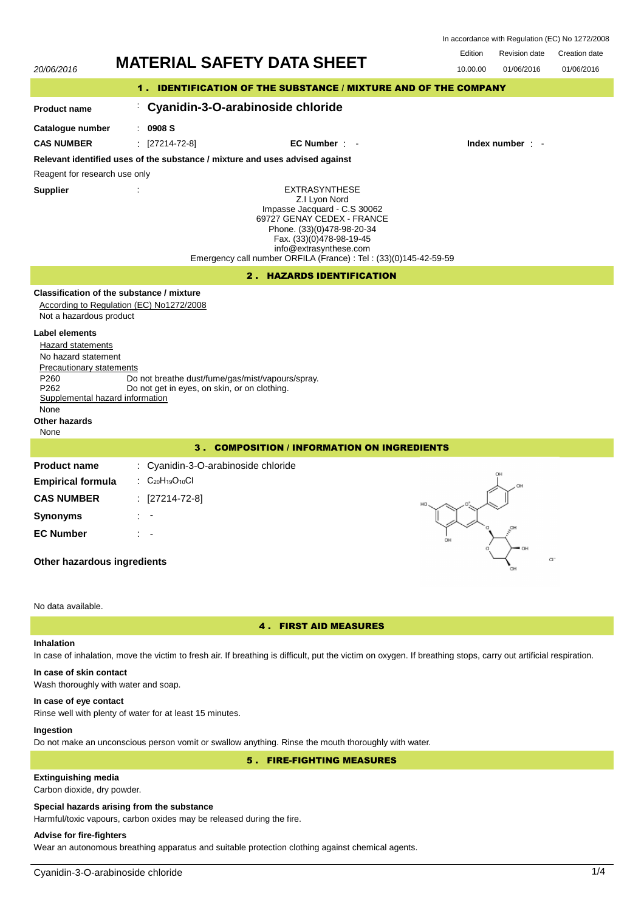20/06/2016 **MATERIAL SAFETY DATA SHEET** 10.00.00 01/06/2016 Revision date 01/06/2016 Edition Revision date Creation date In accordance with Regulation (EC) No 1272/2008 1 . IDENTIFICATION OF THE SUBSTANCE / MIXTURE AND OF THE COMPANY **Product name Catalogue number** : : **0908 S Cyanidin-3-O-arabinoside chloride** EXTRASYNTHESE Z.I Lyon Nord Impasse Jacquard - C.S 30062 69727 GENAY CEDEX - FRANCE Phone. (33)(0)478-98-20-34 Fax. (33)(0)478-98-19-45 info@extrasynthese.com Emergency call number ORFILA (France) : Tel : (33)(0)145-42-59-59 **Supplier** : **Relevant identified uses of the substance / mixture and uses advised against** Reagent for research use only **CAS NUMBER** : [27214-72-8] **EC Number** : - **Index number** : - 2 . HAZARDS IDENTIFICATION **Classification of the substance / mixture** According to Regulation (EC) No1272/2008 Not a hazardous product **Label elements** Hazard statements No hazard statement Precautionary statements P260 Do not breathe dust/fume/gas/mist/vapours/spray.<br>P262 Do not get in eves, on skin, or on clothing. Do not get in eyes, on skin, or on clothing. Supplemental hazard information None **Other hazards** None 3 . COMPOSITION / INFORMATION ON INGREDIENTS **Product name Empirical formula** : Cyanidin-3-O-arabinoside chloride : C<sub>20</sub>H<sub>19</sub>O<sub>10</sub>Cl **CAS NUMBER** : [27214-72-8] **Synonyms** : - **EC Number** : - **Other hazardous ingredients**

### No data available.

## 4 . FIRST AID MEASURES

# **Inhalation**

In case of inhalation, move the victim to fresh air. If breathing is difficult, put the victim on oxygen. If breathing stops, carry out artificial respiration.

# **In case of skin contact**

Wash thoroughly with water and soap.

## **In case of eye contact**

Rinse well with plenty of water for at least 15 minutes.

## **Ingestion**

Do not make an unconscious person vomit or swallow anything. Rinse the mouth thoroughly with water.

# 5 . FIRE-FIGHTING MEASURES

# **Extinguishing media**

Carbon dioxide, dry powder.

### **Special hazards arising from the substance**

Harmful/toxic vapours, carbon oxides may be released during the fire.

# **Advise for fire-fighters**

Wear an autonomous breathing apparatus and suitable protection clothing against chemical agents.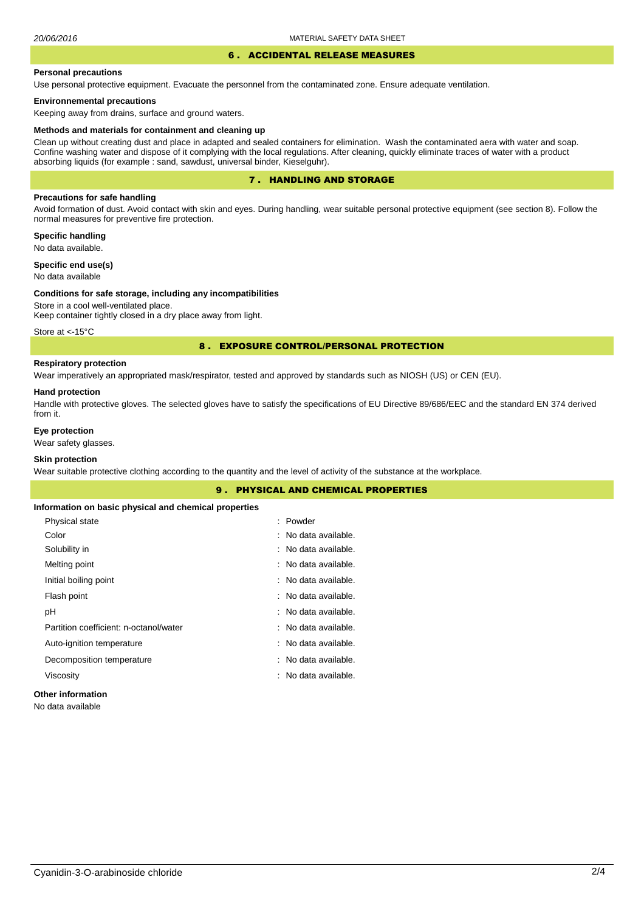# 6 . ACCIDENTAL RELEASE MEASURES

### **Personal precautions**

Use personal protective equipment. Evacuate the personnel from the contaminated zone. Ensure adequate ventilation.

### **Environnemental precautions**

Keeping away from drains, surface and ground waters.

### **Methods and materials for containment and cleaning up**

Clean up without creating dust and place in adapted and sealed containers for elimination. Wash the contaminated aera with water and soap. Confine washing water and dispose of it complying with the local regulations. After cleaning, quickly eliminate traces of water with a product absorbing liquids (for example : sand, sawdust, universal binder, Kieselguhr).

# 7 . HANDLING AND STORAGE

## **Precautions for safe handling**

Avoid formation of dust. Avoid contact with skin and eyes. During handling, wear suitable personal protective equipment (see section 8). Follow the normal measures for preventive fire protection.

**Specific handling** No data available.

**Specific end use(s)**

# No data available

### **Conditions for safe storage, including any incompatibilities**

Store in a cool well-ventilated place. Keep container tightly closed in a dry place away from light.

Store at <- 15°C

## 8 . EXPOSURE CONTROL/PERSONAL PROTECTION

## **Respiratory protection**

Wear imperatively an appropriated mask/respirator, tested and approved by standards such as NIOSH (US) or CEN (EU).

### **Hand protection**

Handle with protective gloves. The selected gloves have to satisfy the specifications of EU Directive 89/686/EEC and the standard EN 374 derived from it.

## **Eye protection**

Wear safety glasses.

## **Skin protection**

Wear suitable protective clothing according to the quantity and the level of activity of the substance at the workplace.

|                                                       | <b>PHYSICAL AND CHEMICAL PROPERTIES</b><br>9. |  |
|-------------------------------------------------------|-----------------------------------------------|--|
| Information on basic physical and chemical properties |                                               |  |
| Physical state                                        | : Powder                                      |  |
| Color                                                 | : No data available.                          |  |
| Solubility in                                         | : No data available.                          |  |
| Melting point                                         | : No data available.                          |  |
| Initial boiling point                                 | : No data available.                          |  |
| Flash point                                           | : No data available.                          |  |
| рH                                                    | : No data available.                          |  |
| Partition coefficient: n-octanol/water                | : No data available.                          |  |
| Auto-ignition temperature                             | : No data available.                          |  |
| Decomposition temperature                             | : No data available.                          |  |
| Viscosity                                             | : No data available.                          |  |
|                                                       |                                               |  |

# **Other information**

No data available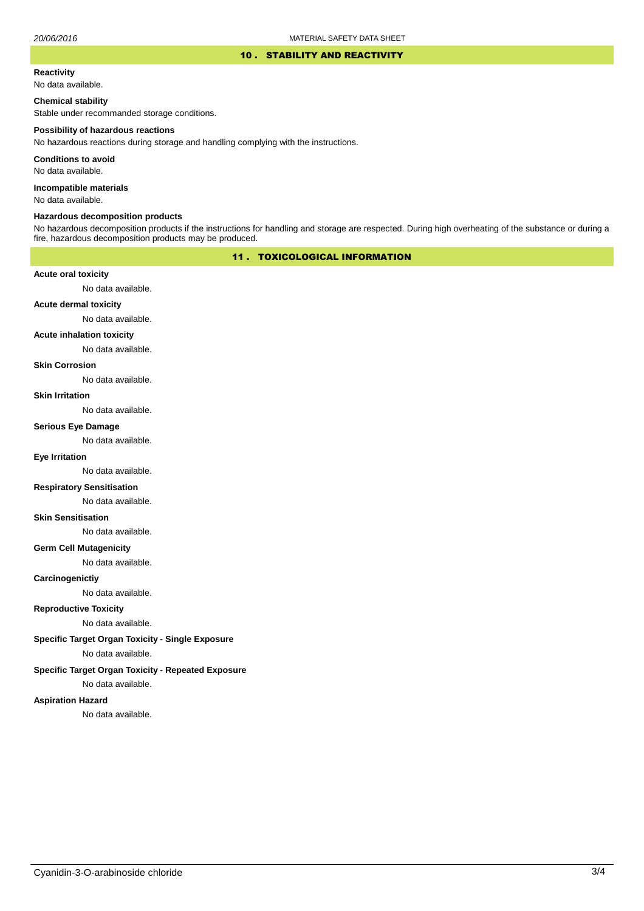### 10 . STABILITY AND REACTIVITY

### **Reactivity**

No data available.

## **Chemical stability**

Stable under recommanded storage conditions.

### **Possibility of hazardous reactions**

No hazardous reactions during storage and handling complying with the instructions.

**Conditions to avoid**

No data available.

**Incompatible materials**

No data available.

### **Hazardous decomposition products**

No hazardous decomposition products if the instructions for handling and storage are respected. During high overheating of the substance or during a fire, hazardous decomposition products may be produced.

# 11 . TOXICOLOGICAL INFORMATION

## **Acute oral toxicity**

No data available.

# **Acute dermal toxicity**

No data available.

## **Acute inhalation toxicity**

No data available.

## **Skin Corrosion**

No data available.

### **Skin Irritation**

No data available.

### **Serious Eye Damage**

No data available.

# **Eye Irritation**

No data available.

## **Respiratory Sensitisation**

No data available.

### **Skin Sensitisation**

No data available.

## **Germ Cell Mutagenicity**

No data available.

## **Carcinogenictiy**

No data available.

# **Reproductive Toxicity**

No data available.

# **Specific Target Organ Toxicity - Single Exposure**

No data available.

## **Specific Target Organ Toxicity - Repeated Exposure**

No data available.

### **Aspiration Hazard**

No data available.